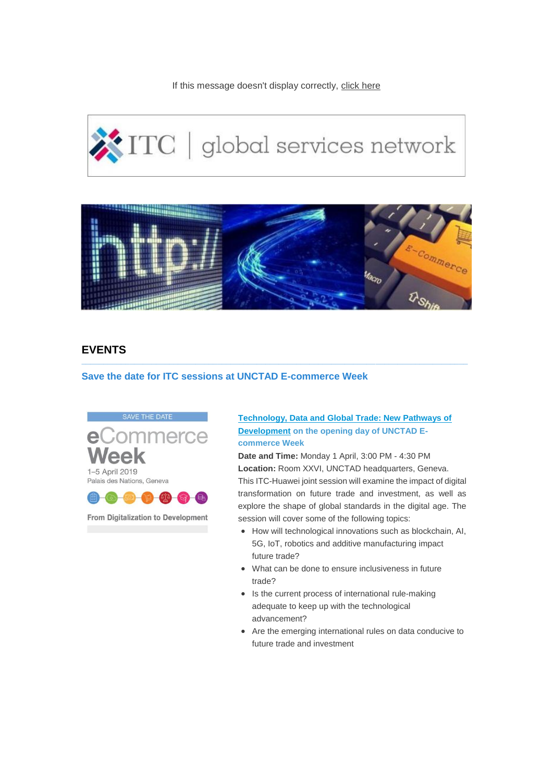If this message doesn't display correctly, [click here](http://eye.maillink.intracen.org/m2?r=uDVhNzAzZTQ3Yjg1YjUzNmE5ZjRiZjYwOMQQ0JrQytC_PxU8RyrQjtCDK9DC0L5rJtCQxBAl-VXQtRjqTufQoNDY69Ce0InQjuhvtGpzb3RlbG9AaW50cmFjZW4ub3JnoJaqQ09OVEFDVF9JRLZKZmxWdFJqcVR1ZWcyT3VlaVk3b2J3s0VNQUlMX0NPUlJFQ1RJT05fSUSgsU9SSUdJTl9DQVBUSU9OX0lEv0dTTiBsaXN0IGNvbWJpbmVkXzI4MDMyMDE5Lnhsc3iuT1JJR0lOX0tJTkRfSUSkWExTWLNQSE9ORV9DT1JSRUNUSU9OX0lEoKhTVEFURV9JRKdVbmtub3du) 

# $\sqrt{\text{ITC}}$  | global services network



**\_\_\_\_\_\_\_\_\_\_\_\_\_\_\_\_\_\_\_\_\_\_\_\_\_\_\_\_\_\_\_\_\_\_\_\_\_\_\_\_\_\_\_\_\_\_\_\_\_\_\_\_\_\_\_\_\_\_\_\_\_\_\_\_\_\_\_\_\_\_\_\_\_\_\_\_\_\_\_\_\_\_\_\_\_\_\_\_**

# **EVENTS**

## **Save the date for ITC sessions at UNCTAD E-commerce Week**



From Digitalization to Development

# **[Technology, Data and Global Trade: New Pathways of](http://eye.maillink.intracen.org/c?p=xBDQmtDK0L8_FTxHKtCO0IMr0MLQvmsm0JDEENDRPRM0SGtN0KrQl9DVUQ4G0KYsbdksaHR0cHM6Ly9ld2VlazIwMTkudW5jdGFkLm9yZy9tZWV0aW5ncy85NTM4ODa4NWE3MDNlNDdiODViNTM2YTlmNGJmNjA4xBAl-VXQtRjqTufQoNDY69Ce0InQjuhvuWV5ZS5tYWlsbGluay5pbnRyYWNlbi5vcmfEFNDb0MbQg9Ch0IIa0LFlaPd5DNDXaFZjGdCJIl8)  [Development](http://eye.maillink.intracen.org/c?p=xBDQmtDK0L8_FTxHKtCO0IMr0MLQvmsm0JDEENDRPRM0SGtN0KrQl9DVUQ4G0KYsbdksaHR0cHM6Ly9ld2VlazIwMTkudW5jdGFkLm9yZy9tZWV0aW5ncy85NTM4ODa4NWE3MDNlNDdiODViNTM2YTlmNGJmNjA4xBAl-VXQtRjqTufQoNDY69Ce0InQjuhvuWV5ZS5tYWlsbGluay5pbnRyYWNlbi5vcmfEFNDb0MbQg9Ch0IIa0LFlaPd5DNDXaFZjGdCJIl8) on the opening day of UNCTAD Ecommerce Week**

**Date and Time:** Monday 1 April, 3:00 PM - 4:30 PM **Location:** Room XXVI, UNCTAD headquarters, Geneva. This ITC-Huawei joint session will examine the impact of digital transformation on future trade and investment, as well as explore the shape of global standards in the digital age. The session will cover some of the following topics:

- How will technological innovations such as blockchain, AI, 5G, IoT, robotics and additive manufacturing impact future trade?
- What can be done to ensure inclusiveness in future trade?
- Is the current process of international rule-making adequate to keep up with the technological advancement?
- Are the emerging international rules on data conducive to future trade and investment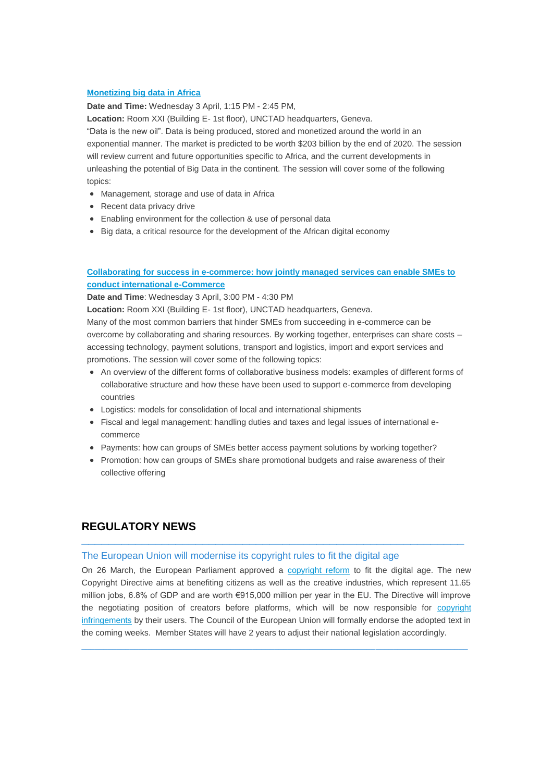### **[Monetizing big data in Africa](http://eye.maillink.intracen.org/c?p=xBDQmtDK0L8_FTxHKtCO0IMr0MLQvmsm0JDEEDjQvVbQgychS9Cx0KTrXwol0Kp29NksaHR0cHM6Ly9ld2VlazIwMTkudW5jdGFkLm9yZy9tZWV0aW5ncy85Nzc0MjG4NWE3MDNlNDdiODViNTM2YTlmNGJmNjA4xBAl-VXQtRjqTufQoNDY69Ce0InQjuhvuWV5ZS5tYWlsbGluay5pbnRyYWNlbi5vcmfEFNDb0MbQg9Ch0IIa0LFlaPd5DNDXaFZjGdCJIl8)**

**Date and Time:** Wednesday 3 April, 1:15 PM - 2:45 PM,

**Location:** Room XXI (Building E- 1st floor), UNCTAD headquarters, Geneva.

"Data is the new oil". Data is being produced, stored and monetized around the world in an exponential manner. The market is predicted to be worth \$203 billion by the end of 2020. The session will review current and future opportunities specific to Africa, and the current developments in unleashing the potential of Big Data in the continent. The session will cover some of the following topics:

- Management, storage and use of data in Africa
- Recent data privacy drive
- Enabling environment for the collection & use of personal data
- Big data, a critical resource for the development of the African digital economy

# **[Collaborating for success in e-commerce: how jointly managed services can enable SMEs to](http://eye.maillink.intracen.org/c?p=xBDQmtDK0L8_FTxHKtCO0IMr0MLQvmsm0JDEEOFwOxlyfEL20LbyCtC20K7QjtC-0LDZLGh0dHBzOi8vZXdlZWsyMDE5LnVuY3RhZC5vcmcvbWVldGluZ3MvOTU3NDM3uDVhNzAzZTQ3Yjg1YjUzNmE5ZjRiZjYwOMQQJflV0LUY6k7n0KDQ2OvQntCJ0I7ob7lleWUubWFpbGxpbmsuaW50cmFjZW4ub3JnxBTQ29DG0IPQodCCGtCxZWj3eQzQ12hWYxnQiSJf)  [conduct international e-Commerce](http://eye.maillink.intracen.org/c?p=xBDQmtDK0L8_FTxHKtCO0IMr0MLQvmsm0JDEEOFwOxlyfEL20LbyCtC20K7QjtC-0LDZLGh0dHBzOi8vZXdlZWsyMDE5LnVuY3RhZC5vcmcvbWVldGluZ3MvOTU3NDM3uDVhNzAzZTQ3Yjg1YjUzNmE5ZjRiZjYwOMQQJflV0LUY6k7n0KDQ2OvQntCJ0I7ob7lleWUubWFpbGxpbmsuaW50cmFjZW4ub3JnxBTQ29DG0IPQodCCGtCxZWj3eQzQ12hWYxnQiSJf)**

**Date and Time**: Wednesday 3 April, 3:00 PM - 4:30 PM

**Location:** Room XXI (Building E- 1st floor), UNCTAD headquarters, Geneva.

Many of the most common barriers that hinder SMEs from succeeding in e-commerce can be overcome by collaborating and sharing resources. By working together, enterprises can share costs – accessing technology, payment solutions, transport and logistics, import and export services and promotions. The session will cover some of the following topics:

- An overview of the different forms of collaborative business models: examples of different forms of collaborative structure and how these have been used to support e-commerce from developing countries
- Logistics: models for consolidation of local and international shipments
- Fiscal and legal management: handling duties and taxes and legal issues of international ecommerce
- Payments: how can groups of SMEs better access payment solutions by working together?
- Promotion: how can groups of SMEs share promotional budgets and raise awareness of their collective offering

# **REGULATORY NEWS**

#### The European Union will modernise its copyright rules to fit the digital age

On 26 March, the European Parliament approved a [copyright reform](http://eye.maillink.intracen.org/c?p=xBDQmtDK0L8_FTxHKtCO0IMr0MLQvmsm0JDEENDB0IMLeNCgREfv0K_Qpj7QlQDQvE0W2T1odHRwOi8vZXVyb3BhLmV1L3JhcGlkL3ByZXNzLXJlbGVhc2VfU1RBVEVNRU5ULTE5LTE4MzlfZW4uaHRtuDVhNzAzZTQ3Yjg1YjUzNmE5ZjRiZjYwOMQQJflV0LUY6k7n0KDQ2OvQntCJ0I7ob7lleWUubWFpbGxpbmsuaW50cmFjZW4ub3JnxBTQ29DG0IPQodCCGtCxZWj3eQzQ12hWYxnQiSJf) to fit the digital age. The new Copyright Directive aims at benefiting citizens as well as the creative industries, which represent 11.65 million jobs, 6.8% of GDP and are worth €915,000 million per year in the EU. The Directive will improve the negotiating position of creators before platforms, which will be now responsible for [copyright](http://eye.maillink.intracen.org/c?p=xBDQmtDK0L8_FTxHKtCO0IMr0MLQvmsm0JDEEPtrctDDDNDES_7QuWYkEHQ5ZtCt2UpodHRwczovL2VkaXRpb24uY25uLmNvbS8yMDE5LzAzLzI2L3RlY2gvZXUtY29weXJpZ2h0LWFydGljbGUtMTMvaW5kZXguaHRtbLg1YTcwM2U0N2I4NWI1MzZhOWY0YmY2MDjEECX5VdC1GOpO59Cg0Njr0J7QidCO6G-5ZXllLm1haWxsaW5rLmludHJhY2VuLm9yZ8QU0NvQxtCD0KHQghrQsWVo93kM0NdoVmMZ0IkiXw)  [infringements](http://eye.maillink.intracen.org/c?p=xBDQmtDK0L8_FTxHKtCO0IMr0MLQvmsm0JDEEPtrctDDDNDES_7QuWYkEHQ5ZtCt2UpodHRwczovL2VkaXRpb24uY25uLmNvbS8yMDE5LzAzLzI2L3RlY2gvZXUtY29weXJpZ2h0LWFydGljbGUtMTMvaW5kZXguaHRtbLg1YTcwM2U0N2I4NWI1MzZhOWY0YmY2MDjEECX5VdC1GOpO59Cg0Njr0J7QidCO6G-5ZXllLm1haWxsaW5rLmludHJhY2VuLm9yZ8QU0NvQxtCD0KHQghrQsWVo93kM0NdoVmMZ0IkiXw) by their users. The Council of the European Union will formally endorse the adopted text in the coming weeks. Member States will have 2 years to adjust their national legislation accordingly.

 $\_$  , and the set of the set of the set of the set of the set of the set of the set of the set of the set of the set of the set of the set of the set of the set of the set of the set of the set of the set of the set of th

\_\_\_\_\_\_\_\_\_\_\_\_\_\_\_\_\_\_\_\_\_\_\_\_\_\_\_\_\_\_\_\_\_\_\_\_\_\_\_\_\_\_\_\_\_\_\_\_\_\_\_\_\_\_\_\_\_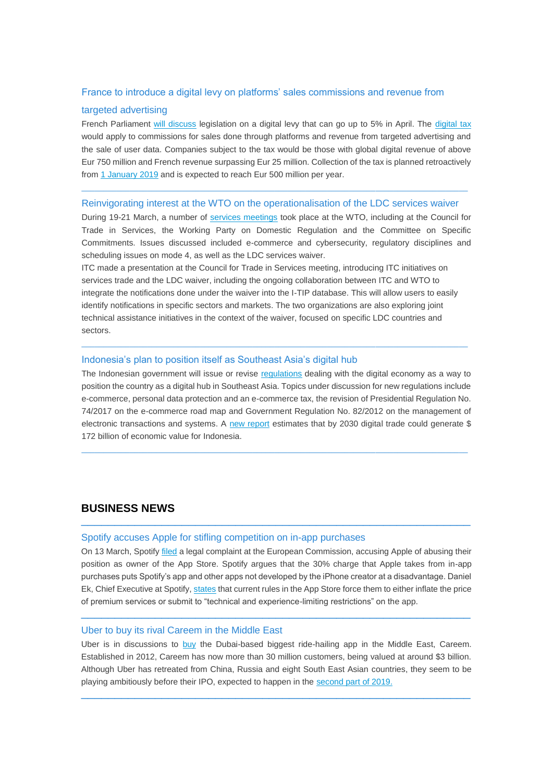## France to introduce a digital levy on platforms' sales commissions and revenue from

### targeted advertising

French Parliament [will discuss](http://eye.maillink.intracen.org/c?p=xBDQmtDK0L8_FTxHKtCO0IMr0MLQvmsm0JDEEBXQk9CnOdCh0NdL0MrQgtC70NtkPtCj8RnZTmh0dHBzOi8vd3d3LmZveG5ld3MuY29tL3RlY2gvc2lsaWNvbi12YWxsZXktaGl0LXdpdGgtbmV3LWRpZ2l0YWwtdGF4LWluLWZyYW5jZbg1YTcwM2U0N2I4NWI1MzZhOWY0YmY2MDjEECX5VdC1GOpO59Cg0Njr0J7QidCO6G-5ZXllLm1haWxsaW5rLmludHJhY2VuLm9yZ8QU0NvQxtCD0KHQghrQsWVo93kM0NdoVmMZ0IkiXw) legislation on a digital levy that can go up to 5% in April. The [digital tax](http://eye.maillink.intracen.org/c?p=xBDQmtDK0L8_FTxHKtCO0IMr0MLQvmsm0JDEEOst0LjQzNDP4Upg0LxM0LPQ2dDF0JEp0LHZXWh0dHBzOi8vd3d3LmR3LmNvbS9lbi9mcmFuY2UtdG8tc2V0LW5ldy01MDAtbWlsbGlvbi1kaWdpdGFsLXRheC1mb3ItMzAtdGVjaC1naWFudHMvYS00Nzc1OTA1OLg1YTcwM2U0N2I4NWI1MzZhOWY0YmY2MDjEECX5VdC1GOpO59Cg0Njr0J7QidCO6G-5ZXllLm1haWxsaW5rLmludHJhY2VuLm9yZ8QU0NvQxtCD0KHQghrQsWVo93kM0NdoVmMZ0IkiXw) would apply to commissions for sales done through platforms and revenue from targeted advertising and the sale of user data. Companies subject to the tax would be those with global digital revenue of above Eur 750 million and French revenue surpassing Eur 25 million. Collection of the tax is planned retroactively from [1 January 2019](http://eye.maillink.intracen.org/c?p=xBDQmtDK0L8_FTxHKtCO0IMr0MLQvmsm0JDEENDIYkgG7NDbQTbQkdDG0NfQqivQrQE-2XJodHRwczovL3d3dy5ibG9vbWJlcmcuY29tL25ld3MvYXJ0aWNsZXMvMjAxOS0wMy0wMy9mcmFuY2UtcGxhbnMtNS1kaWdpdGFsLXRheC1hcy1nb3Zlcm5tZW50cy1jaGFzZS1pbnRlcm5ldC1naWFudHO4NWE3MDNlNDdiODViNTM2YTlmNGJmNjA4xBAl-VXQtRjqTufQoNDY69Ce0InQjuhvuWV5ZS5tYWlsbGluay5pbnRyYWNlbi5vcmfEFNDb0MbQg9Ch0IIa0LFlaPd5DNDXaFZjGdCJIl8) and is expected to reach Eur 500 million per year.

#### Reinvigorating interest at the WTO on the operationalisation of the LDC services waiver

 $\_$  , and the set of the set of the set of the set of the set of the set of the set of the set of the set of the set of the set of the set of the set of the set of the set of the set of the set of the set of the set of th

During 19-21 March, a number of [services meetings](http://eye.maillink.intracen.org/c?p=xBDQmtDK0L8_FTxHKtCO0IMr0MLQvmsm0JDEENCFeGbQwNCq_Ujm0LnQkhHQjNCB4ipL2T5odHRwczovL3d3dy53dG8ub3JnL2VuZ2xpc2gvbmV3c19lL25ld3MxOV9lL3NlcnZfMjFtYXIxOV9lLmh0bbg1YTcwM2U0N2I4NWI1MzZhOWY0YmY2MDjEECX5VdC1GOpO59Cg0Njr0J7QidCO6G-5ZXllLm1haWxsaW5rLmludHJhY2VuLm9yZ8QU0NvQxtCD0KHQghrQsWVo93kM0NdoVmMZ0IkiXw) took place at the WTO, including at the Council for Trade in Services, the Working Party on Domestic Regulation and the Committee on Specific Commitments. Issues discussed included e-commerce and cybersecurity, regulatory disciplines and scheduling issues on mode 4, as well as the LDC services waiver.

ITC made a presentation at the Council for Trade in Services meeting, introducing ITC initiatives on services trade and the LDC waiver, including the ongoing collaboration between ITC and WTO to integrate the notifications done under the waiver into the I-TIP database. This will allow users to easily identify notifications in specific sectors and markets. The two organizations are also exploring joint technical assistance initiatives in the context of the waiver, focused on specific LDC countries and sectors.

 $\_$  , and the set of the set of the set of the set of the set of the set of the set of the set of the set of the set of the set of the set of the set of the set of the set of the set of the set of the set of the set of th

#### Indonesia's plan to position itself as Southeast Asia's digital hub

The Indonesian government will issue or revise [regulations](http://eye.maillink.intracen.org/c?p=xBDQmtDK0L8_FTxHKtCO0IMr0MLQvmsm0JDEEHAVGzIlV0PQu9CK4NDQ5NDa0J5yA9lhaHR0cDovL2FubnguYXNpYW5ld3MubmV0d29yay9jb250ZW50L2luZG9uZXNpYS1haW1zLWJlLXJlZ2lvbmFsLWRpZ2l0YWwtdGVjaG5vbG9neS1odWItMjAyMC05MTg4Mbg1YTcwM2U0N2I4NWI1MzZhOWY0YmY2MDjEECX5VdC1GOpO59Cg0Njr0J7QidCO6G-5ZXllLm1haWxsaW5rLmludHJhY2VuLm9yZ8QU0NvQxtCD0KHQghrQsWVo93kM0NdoVmMZ0IkiXw) dealing with the digital economy as a way to position the country as a digital hub in Southeast Asia. Topics under discussion for new regulations include e-commerce, personal data protection and an e-commerce tax, the revision of Presidential Regulation No. 74/2017 on the e-commerce road map and Government Regulation No. 82/2012 on the management of electronic transactions and systems. A [new report](http://eye.maillink.intracen.org/c?p=xBDQmtDK0L8_FTxHKtCO0IMr0MLQvmsm0JDEEDDQ0vTi5wVD7dC_0Ipm0MNhLXMs2VVodHRwczovL3d3dy5hbHBoYWJldGEuY29tL3dwLWNvbnRlbnQvdXBsb2Fkcy8yMDE5LzAyL2RpZ2l0cmFkZV9pbmRvX2VuZ18xLXBnLXZpZXcucGRmuDVhNzAzZTQ3Yjg1YjUzNmE5ZjRiZjYwOMQQJflV0LUY6k7n0KDQ2OvQntCJ0I7ob7lleWUubWFpbGxpbmsuaW50cmFjZW4ub3JnxBTQ29DG0IPQodCCGtCxZWj3eQzQ12hWYxnQiSJf) estimates that by 2030 digital trade could generate \$ 172 billion of economic value for Indonesia.

 $\_$  , and the set of the set of the set of the set of the set of the set of the set of the set of the set of the set of the set of the set of the set of the set of the set of the set of the set of the set of the set of th

# **BUSINESS NEWS** \_\_\_\_\_\_\_\_\_\_\_\_\_\_\_\_\_\_\_\_\_\_\_\_\_\_\_\_\_\_\_\_\_\_\_\_\_\_\_\_\_\_\_\_\_\_\_\_\_\_\_\_\_\_\_\_\_\_

#### Spotify accuses Apple for stifling competition on in-app purchases

On 13 March, Spotify [filed](http://eye.maillink.intracen.org/c?p=xBDQmtDK0L8_FTxHKtCO0IMr0MLQvmsm0JDEENDD6lg3JlFM0MLQqtDS0IAc0N8wUQHZS2h0dHBzOi8vd3d3LndpcmVkLmNvbS9zdG9yeS9zcG90aWZ5LWFwcGxlLWNvbXBsYWludC13YXJyZW4tYW50aXRydXN0LWlzc3VlL7g1YTcwM2U0N2I4NWI1MzZhOWY0YmY2MDjEECX5VdC1GOpO59Cg0Njr0J7QidCO6G-5ZXllLm1haWxsaW5rLmludHJhY2VuLm9yZ8QU0NvQxtCD0KHQghrQsWVo93kM0NdoVmMZ0IkiXw) a legal complaint at the European Commission, accusing Apple of abusing their position as owner of the App Store. Spotify argues that the 30% charge that Apple takes from in-app purchases puts Spotify's app and other apps not developed by the iPhone creator at a disadvantage. Daniel Ek, Chief Executive at Spotify, [states](http://eye.maillink.intracen.org/c?p=xBDQmtDK0L8_FTxHKtCO0IMr0MLQvmsm0JDEECD3dUkhGUI80INO0M5D0K3QjerQktloaHR0cHM6Ly9uZXdzLnNreS5jb20vc3Rvcnkvc3BvdGlmeS1hY2N1c2VzLWFwcGxlLW9mLXN0aWZsaW5nLWNvbXBldGl0aW9uLXdpdGgtdW5mYWlyLTMwLWFwcC10YXgtMTE2NjQyODW4NWE3MDNlNDdiODViNTM2YTlmNGJmNjA4xBAl-VXQtRjqTufQoNDY69Ce0InQjuhvuWV5ZS5tYWlsbGluay5pbnRyYWNlbi5vcmfEFNDb0MbQg9Ch0IIa0LFlaPd5DNDXaFZjGdCJIl8) that current rules in the App Store force them to either inflate the price of premium services or submit to "technical and experience-limiting restrictions" on the app.

\_\_\_\_\_\_\_\_\_\_\_\_\_\_\_\_\_\_\_\_\_\_\_\_\_\_\_\_\_\_\_\_\_\_\_\_\_\_\_\_\_\_\_\_\_\_\_\_\_\_\_\_\_\_\_\_\_\_

#### Uber to buy its rival Careem in the Middle East

Uber is in discussions to [buy](http://eye.maillink.intracen.org/c?p=xBDQmtDK0L8_FTxHKtCO0IMr0MLQvmsm0JDEENDc0IjQq2HQiNC4QnrQpxv3MNCZQn8G2UVodHRwczovL2VkaXRpb24uY25uLmNvbS8yMDE5LzAzLzA2L3RlY2gvdWJlci1jYXJlZW0tbWVyZ2VyL2luZGV4Lmh0bWy4NWE3MDNlNDdiODViNTM2YTlmNGJmNjA4xBAl-VXQtRjqTufQoNDY69Ce0InQjuhvuWV5ZS5tYWlsbGluay5pbnRyYWNlbi5vcmfEFNDb0MbQg9Ch0IIa0LFlaPd5DNDXaFZjGdCJIl8) the Dubai-based biggest ride-hailing app in the Middle East, Careem. Established in 2012, Careem has now more than 30 million customers, being valued at around \$3 billion. Although Uber has retreated from China, Russia and eight South East Asian countries, they seem to be playing ambitiously before their IPO, expected to happen in the [second part of 2019.](http://eye.maillink.intracen.org/c?p=xBDQmtDK0L8_FTxHKtCO0IMr0MLQvmsm0JDEED42_-TQttCrSffQtNDF0Nka0NvQwNCoQtklaHR0cHM6Ly93d3cuaWcuY29tL2F1L3NoYXJlcy91YmVyLWlwb7g1YTcwM2U0N2I4NWI1MzZhOWY0YmY2MDjEECX5VdC1GOpO59Cg0Njr0J7QidCO6G-5ZXllLm1haWxsaW5rLmludHJhY2VuLm9yZ8QU0NvQxtCD0KHQghrQsWVo93kM0NdoVmMZ0IkiXw)

\_\_\_\_\_\_\_\_\_\_\_\_\_\_\_\_\_\_\_\_\_\_\_\_\_\_\_\_\_\_\_\_\_\_\_\_\_\_\_\_\_\_\_\_\_\_\_\_\_\_\_\_\_\_\_\_\_\_